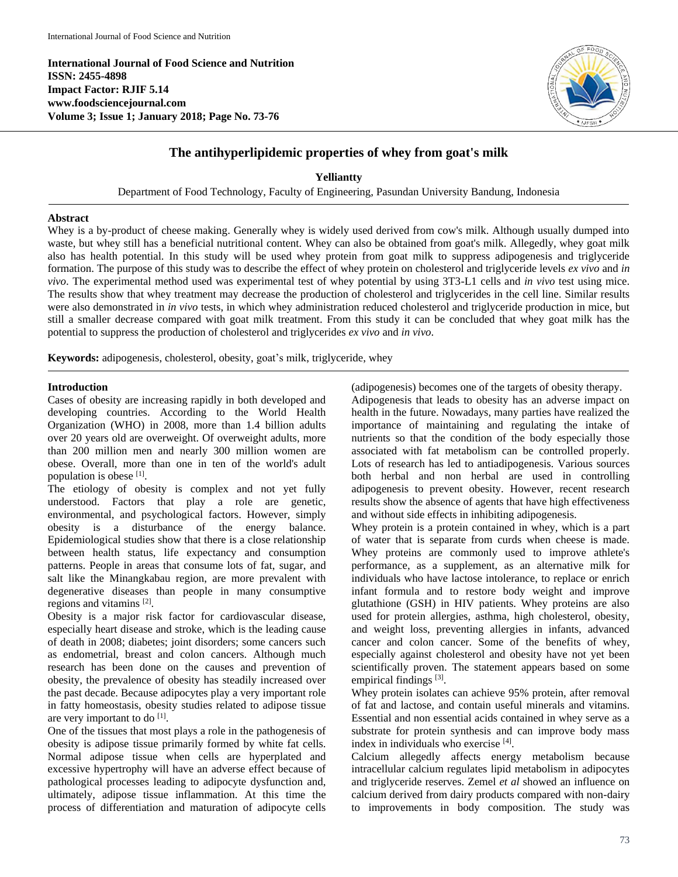**International Journal of Food Science and Nutrition ISSN: 2455-4898 Impact Factor: RJIF 5.14 www.foodsciencejournal.com Volume 3; Issue 1; January 2018; Page No. 73-76**



# **The antihyperlipidemic properties of whey from goat's milk**

**Yelliantty**

Department of Food Technology, Faculty of Engineering, Pasundan University Bandung, Indonesia

## **Abstract**

Whey is a by-product of cheese making. Generally whey is widely used derived from cow's milk. Although usually dumped into waste, but whey still has a beneficial nutritional content. Whey can also be obtained from goat's milk. Allegedly, whey goat milk also has health potential. In this study will be used whey protein from goat milk to suppress adipogenesis and triglyceride formation. The purpose of this study was to describe the effect of whey protein on cholesterol and triglyceride levels *ex vivo* and *in vivo*. The experimental method used was experimental test of whey potential by using 3T3-L1 cells and *in vivo* test using mice. The results show that whey treatment may decrease the production of cholesterol and triglycerides in the cell line. Similar results were also demonstrated in *in vivo* tests, in which whey administration reduced cholesterol and triglyceride production in mice, but still a smaller decrease compared with goat milk treatment. From this study it can be concluded that whey goat milk has the potential to suppress the production of cholesterol and triglycerides *ex vivo* and *in vivo*.

**Keywords:** adipogenesis, cholesterol, obesity, goat's milk, triglyceride, whey

## **Introduction**

Cases of obesity are increasing rapidly in both developed and developing countries. According to the World Health Organization (WHO) in 2008, more than 1.4 billion adults over 20 years old are overweight. Of overweight adults, more than 200 million men and nearly 300 million women are obese. Overall, more than one in ten of the world's adult population is obese [1].

The etiology of obesity is complex and not yet fully understood. Factors that play a role are genetic, environmental, and psychological factors. However, simply obesity is a disturbance of the energy balance. Epidemiological studies show that there is a close relationship between health status, life expectancy and consumption patterns. People in areas that consume lots of fat, sugar, and salt like the Minangkabau region, are more prevalent with degenerative diseases than people in many consumptive regions and vitamins [2].

Obesity is a major risk factor for cardiovascular disease, especially heart disease and stroke, which is the leading cause of death in 2008; diabetes; joint disorders; some cancers such as endometrial, breast and colon cancers. Although much research has been done on the causes and prevention of obesity, the prevalence of obesity has steadily increased over the past decade. Because adipocytes play a very important role in fatty homeostasis, obesity studies related to adipose tissue are very important to do  $^{[1]}$ .

One of the tissues that most plays a role in the pathogenesis of obesity is adipose tissue primarily formed by white fat cells. Normal adipose tissue when cells are hyperplated and excessive hypertrophy will have an adverse effect because of pathological processes leading to adipocyte dysfunction and, ultimately, adipose tissue inflammation. At this time the process of differentiation and maturation of adipocyte cells

(adipogenesis) becomes one of the targets of obesity therapy. Adipogenesis that leads to obesity has an adverse impact on health in the future. Nowadays, many parties have realized the importance of maintaining and regulating the intake of nutrients so that the condition of the body especially those associated with fat metabolism can be controlled properly. Lots of research has led to antiadipogenesis. Various sources both herbal and non herbal are used in controlling adipogenesis to prevent obesity. However, recent research results show the absence of agents that have high effectiveness and without side effects in inhibiting adipogenesis.

Whey protein is a protein contained in whey, which is a part of water that is separate from curds when cheese is made. Whey proteins are commonly used to improve athlete's performance, as a supplement, as an alternative milk for individuals who have lactose intolerance, to replace or enrich infant formula and to restore body weight and improve glutathione (GSH) in HIV patients. Whey proteins are also used for protein allergies, asthma, high cholesterol, obesity, and weight loss, preventing allergies in infants, advanced cancer and colon cancer. Some of the benefits of whey, especially against cholesterol and obesity have not yet been scientifically proven. The statement appears based on some empirical findings<sup>[3]</sup>.

Whey protein isolates can achieve 95% protein, after removal of fat and lactose, and contain useful minerals and vitamins. Essential and non essential acids contained in whey serve as a substrate for protein synthesis and can improve body mass index in individuals who exercise [4] .

Calcium allegedly affects energy metabolism because intracellular calcium regulates lipid metabolism in adipocytes and triglyceride reserves. Zemel *et al* showed an influence on calcium derived from dairy products compared with non-dairy to improvements in body composition. The study was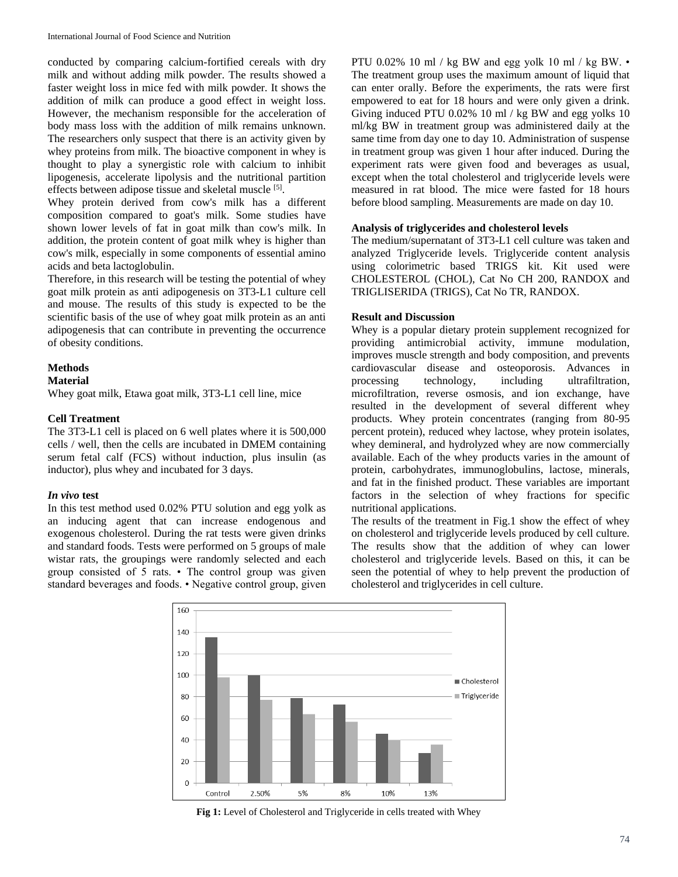conducted by comparing calcium-fortified cereals with dry milk and without adding milk powder. The results showed a faster weight loss in mice fed with milk powder. It shows the addition of milk can produce a good effect in weight loss. However, the mechanism responsible for the acceleration of body mass loss with the addition of milk remains unknown. The researchers only suspect that there is an activity given by whey proteins from milk. The bioactive component in whey is thought to play a synergistic role with calcium to inhibit lipogenesis, accelerate lipolysis and the nutritional partition effects between adipose tissue and skeletal muscle [5].

Whey protein derived from cow's milk has a different composition compared to goat's milk. Some studies have shown lower levels of fat in goat milk than cow's milk. In addition, the protein content of goat milk whey is higher than cow's milk, especially in some components of essential amino acids and beta lactoglobulin.

Therefore, in this research will be testing the potential of whey goat milk protein as anti adipogenesis on 3T3-L1 culture cell and mouse. The results of this study is expected to be the scientific basis of the use of whey goat milk protein as an anti adipogenesis that can contribute in preventing the occurrence of obesity conditions.

## **Methods**

#### **Material**

Whey goat milk, Etawa goat milk, 3T3-L1 cell line, mice

### **Cell Treatment**

The 3T3-L1 cell is placed on 6 well plates where it is 500,000 cells / well, then the cells are incubated in DMEM containing serum fetal calf (FCS) without induction, plus insulin (as inductor), plus whey and incubated for 3 days.

#### *In vivo* **test**

In this test method used 0.02% PTU solution and egg yolk as an inducing agent that can increase endogenous and exogenous cholesterol. During the rat tests were given drinks and standard foods. Tests were performed on 5 groups of male wistar rats, the groupings were randomly selected and each group consisted of 5 rats. • The control group was given standard beverages and foods. • Negative control group, given PTU 0.02% 10 ml / kg BW and egg yolk 10 ml / kg BW. • The treatment group uses the maximum amount of liquid that can enter orally. Before the experiments, the rats were first empowered to eat for 18 hours and were only given a drink. Giving induced PTU 0.02% 10 ml / kg BW and egg yolks 10 ml/kg BW in treatment group was administered daily at the same time from day one to day 10. Administration of suspense in treatment group was given 1 hour after induced. During the experiment rats were given food and beverages as usual, except when the total cholesterol and triglyceride levels were measured in rat blood. The mice were fasted for 18 hours before blood sampling. Measurements are made on day 10.

### **Analysis of triglycerides and cholesterol levels**

The medium/supernatant of 3T3-L1 cell culture was taken and analyzed Triglyceride levels. Triglyceride content analysis using colorimetric based TRIGS kit. Kit used were CHOLESTEROL (CHOL), Cat No CH 200, RANDOX and TRIGLISERIDA (TRIGS), Cat No TR, RANDOX.

## **Result and Discussion**

Whey is a popular dietary protein supplement recognized for providing antimicrobial activity, immune modulation, improves muscle strength and body composition, and prevents cardiovascular disease and osteoporosis. Advances in processing technology, including ultrafiltration, microfiltration, reverse osmosis, and ion exchange, have resulted in the development of several different whey products. Whey protein concentrates (ranging from 80-95 percent protein), reduced whey lactose, whey protein isolates, whey demineral, and hydrolyzed whey are now commercially available. Each of the whey products varies in the amount of protein, carbohydrates, immunoglobulins, lactose, minerals, and fat in the finished product. These variables are important factors in the selection of whey fractions for specific nutritional applications.

The results of the treatment in Fig.1 show the effect of whey on cholesterol and triglyceride levels produced by cell culture. The results show that the addition of whey can lower cholesterol and triglyceride levels. Based on this, it can be seen the potential of whey to help prevent the production of cholesterol and triglycerides in cell culture.



**Fig 1:** Level of Cholesterol and Triglyceride in cells treated with Whey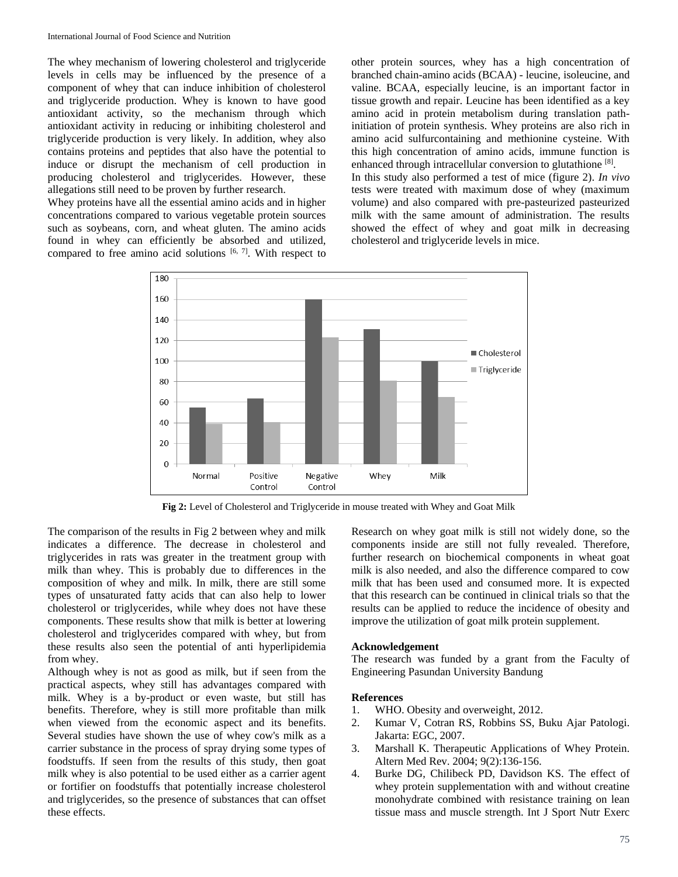The whey mechanism of lowering cholesterol and triglyceride levels in cells may be influenced by the presence of a component of whey that can induce inhibition of cholesterol and triglyceride production. Whey is known to have good antioxidant activity, so the mechanism through which antioxidant activity in reducing or inhibiting cholesterol and triglyceride production is very likely. In addition, whey also contains proteins and peptides that also have the potential to induce or disrupt the mechanism of cell production in producing cholesterol and triglycerides. However, these allegations still need to be proven by further research.

Whey proteins have all the essential amino acids and in higher concentrations compared to various vegetable protein sources such as soybeans, corn, and wheat gluten. The amino acids found in whey can efficiently be absorbed and utilized, compared to free amino acid solutions  $[6, 7]$ . With respect to other protein sources, whey has a high concentration of branched chain-amino acids (BCAA) - leucine, isoleucine, and valine. BCAA, especially leucine, is an important factor in tissue growth and repair. Leucine has been identified as a key amino acid in protein metabolism during translation pathinitiation of protein synthesis. Whey proteins are also rich in amino acid sulfurcontaining and methionine cysteine. With this high concentration of amino acids, immune function is enhanced through intracellular conversion to glutathione<sup>[8]</sup>.

In this study also performed a test of mice (figure 2). *In vivo* tests were treated with maximum dose of whey (maximum volume) and also compared with pre-pasteurized pasteurized milk with the same amount of administration. The results showed the effect of whey and goat milk in decreasing cholesterol and triglyceride levels in mice.



**Fig 2:** Level of Cholesterol and Triglyceride in mouse treated with Whey and Goat Milk

The comparison of the results in Fig 2 between whey and milk indicates a difference. The decrease in cholesterol and triglycerides in rats was greater in the treatment group with milk than whey. This is probably due to differences in the composition of whey and milk. In milk, there are still some types of unsaturated fatty acids that can also help to lower cholesterol or triglycerides, while whey does not have these components. These results show that milk is better at lowering cholesterol and triglycerides compared with whey, but from these results also seen the potential of anti hyperlipidemia from whey.

Although whey is not as good as milk, but if seen from the practical aspects, whey still has advantages compared with milk. Whey is a by-product or even waste, but still has benefits. Therefore, whey is still more profitable than milk when viewed from the economic aspect and its benefits. Several studies have shown the use of whey cow's milk as a carrier substance in the process of spray drying some types of foodstuffs. If seen from the results of this study, then goat milk whey is also potential to be used either as a carrier agent or fortifier on foodstuffs that potentially increase cholesterol and triglycerides, so the presence of substances that can offset these effects.

Research on whey goat milk is still not widely done, so the components inside are still not fully revealed. Therefore, further research on biochemical components in wheat goat milk is also needed, and also the difference compared to cow milk that has been used and consumed more. It is expected that this research can be continued in clinical trials so that the results can be applied to reduce the incidence of obesity and improve the utilization of goat milk protein supplement.

### **Acknowledgement**

The research was funded by a grant from the Faculty of Engineering Pasundan University Bandung

#### **References**

- 1. WHO. Obesity and overweight, 2012.
- 2. Kumar V, Cotran RS, Robbins SS, Buku Ajar Patologi. Jakarta: EGC, 2007.
- 3. Marshall K. Therapeutic Applications of Whey Protein. Altern Med Rev. 2004; 9(2):136-156.
- 4. Burke DG, Chilibeck PD, Davidson KS. The effect of whey protein supplementation with and without creatine monohydrate combined with resistance training on lean tissue mass and muscle strength. Int J Sport Nutr Exerc